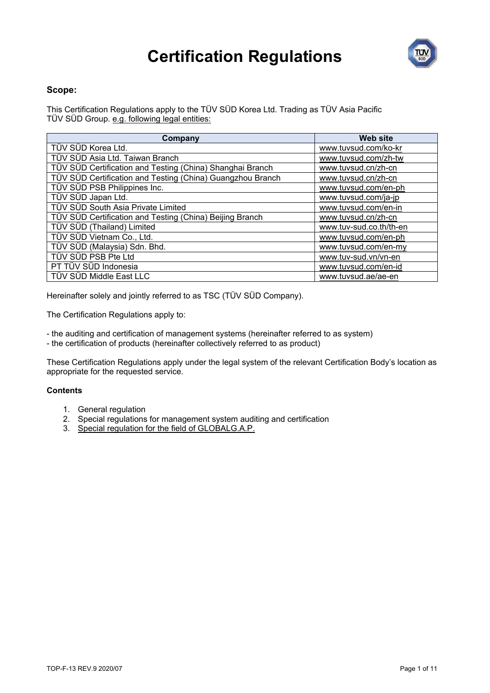

#### **Scope:**

This Certification Regulations apply to the TÜV SÜD Korea Ltd. Trading as TÜV Asia Pacific TÜV SÜD Group. e.g. following legal entities:

| Company                                                    | <b>Web site</b>         |
|------------------------------------------------------------|-------------------------|
| TÜV SÜD Korea Ltd.                                         | www.tuvsud.com/ko-kr    |
| TÜV SÜD Asia Ltd. Taiwan Branch                            | www.tuvsud.com/zh-tw    |
| TÜV SÜD Certification and Testing (China) Shanghai Branch  | www.tuvsud.cn/zh-cn     |
| TÜV SÜD Certification and Testing (China) Guangzhou Branch | www.tuvsud.cn/zh-cn     |
| TÜV SÜD PSB Philippines Inc.                               | www.tuvsud.com/en-ph    |
| TÜV SÜD Japan Ltd.                                         | www.tuvsud.com/ja-jp    |
| TÜV SÜD South Asia Private Limited                         | www.tuvsud.com/en-in    |
| TÜV SÜD Certification and Testing (China) Beijing Branch   | www.tuvsud.cn/zh-cn     |
| TÜV SÜD (Thailand) Limited                                 | www.tuv-sud.co.th/th-en |
| TÜV SÜD Vietnam Co., Ltd.                                  | www.tuvsud.com/en-ph    |
| TÜV SÜD (Malaysia) Sdn. Bhd.                               | www.tuvsud.com/en-my    |
| TÜV SÜD PSB Pte Ltd                                        | www.tuv-sud.vn/vn-en    |
| PT TÜV SÜD Indonesia                                       | www.tuvsud.com/en-id    |
| TÜV SÜD Middle East LLC                                    | www.tuvsud.ae/ae-en     |

Hereinafter solely and jointly referred to as TSC (TÜV SÜD Company).

The Certification Regulations apply to:

- the auditing and certification of management systems (hereinafter referred to as system)
- the certification of products (hereinafter collectively referred to as product)

These Certification Regulations apply under the legal system of the relevant Certification Body's location as appropriate for the requested service.

#### **Contents**

- 1. General regulation
- 2. Special regulations for management system auditing and certification
- 3. Special regulation for the field of GLOBALG.A.P.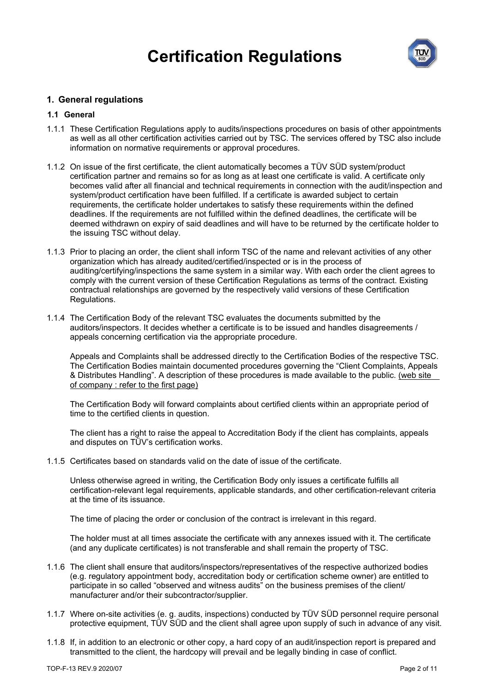

#### **1. General regulations**

#### **1.1 General**

- 1.1.1 These Certification Regulations apply to audits/inspections procedures on basis of other appointments as well as all other certification activities carried out by TSC. The services offered by TSC also include information on normative requirements or approval procedures.
- 1.1.2 On issue of the first certificate, the client automatically becomes a TÜV SÜD system/product certification partner and remains so for as long as at least one certificate is valid. A certificate only becomes valid after all financial and technical requirements in connection with the audit/inspection and system/product certification have been fulfilled. If a certificate is awarded subject to certain requirements, the certificate holder undertakes to satisfy these requirements within the defined deadlines. If the requirements are not fulfilled within the defined deadlines, the certificate will be deemed withdrawn on expiry of said deadlines and will have to be returned by the certificate holder to the issuing TSC without delay.
- 1.1.3 Prior to placing an order, the client shall inform TSC of the name and relevant activities of any other organization which has already audited/certified/inspected or is in the process of auditing/certifying/inspections the same system in a similar way. With each order the client agrees to comply with the current version of these Certification Regulations as terms of the contract. Existing contractual relationships are governed by the respectively valid versions of these Certification Regulations.
- 1.1.4 The Certification Body of the relevant TSC evaluates the documents submitted by the auditors/inspectors. It decides whether a certificate is to be issued and handles disagreements / appeals concerning certification via the appropriate procedure.

Appeals and Complaints shall be addressed directly to the Certification Bodies of the respective TSC. The Certification Bodies maintain documented procedures governing the "Client Complaints, Appeals & Distributes Handling". A description of these procedures is made available to the public. (web site of company : refer to the first page)

The Certification Body will forward complaints about certified clients within an appropriate period of time to the certified clients in question.

The client has a right to raise the appeal to Accreditation Body if the client has complaints, appeals and disputes on TÜV's certification works.

1.1.5 Certificates based on standards valid on the date of issue of the certificate.

Unless otherwise agreed in writing, the Certification Body only issues a certificate fulfills all certification-relevant legal requirements, applicable standards, and other certification-relevant criteria at the time of its issuance.

The time of placing the order or conclusion of the contract is irrelevant in this regard.

The holder must at all times associate the certificate with any annexes issued with it. The certificate (and any duplicate certificates) is not transferable and shall remain the property of TSC.

- 1.1.6 The client shall ensure that auditors/inspectors/representatives of the respective authorized bodies (e.g. regulatory appointment body, accreditation body or certification scheme owner) are entitled to participate in so called "observed and witness audits" on the business premises of the client/ manufacturer and/or their subcontractor/supplier.
- 1.1.7 Where on-site activities (e. g. audits, inspections) conducted by TÜV SÜD personnel require personal protective equipment, TÜV SÜD and the client shall agree upon supply of such in advance of any visit.
- 1.1.8 If, in addition to an electronic or other copy, a hard copy of an audit/inspection report is prepared and transmitted to the client, the hardcopy will prevail and be legally binding in case of conflict.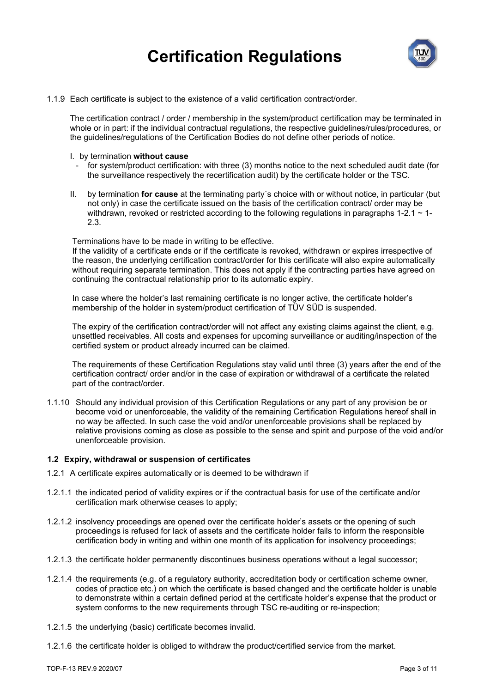

1.1.9 Each certificate is subject to the existence of a valid certification contract/order.

The certification contract / order / membership in the system/product certification may be terminated in whole or in part: if the individual contractual regulations, the respective guidelines/rules/procedures, or the guidelines/regulations of the Certification Bodies do not define other periods of notice.

- I. by termination **without cause**
	- for system/product certification: with three (3) months notice to the next scheduled audit date (for the surveillance respectively the recertification audit) by the certificate holder or the TSC.
- II. by termination **for cause** at the terminating party´s choice with or without notice, in particular (but not only) in case the certificate issued on the basis of the certification contract/ order may be withdrawn, revoked or restricted according to the following regulations in paragraphs 1-2.1  $\sim$  1-2.3.

Terminations have to be made in writing to be effective.

If the validity of a certificate ends or if the certificate is revoked, withdrawn or expires irrespective of the reason, the underlying certification contract/order for this certificate will also expire automatically without requiring separate termination. This does not apply if the contracting parties have agreed on continuing the contractual relationship prior to its automatic expiry.

In case where the holder's last remaining certificate is no longer active, the certificate holder's membership of the holder in system/product certification of TÜV SÜD is suspended.

The expiry of the certification contract/order will not affect any existing claims against the client, e.g. unsettled receivables. All costs and expenses for upcoming surveillance or auditing/inspection of the certified system or product already incurred can be claimed.

The requirements of these Certification Regulations stay valid until three (3) years after the end of the certification contract/ order and/or in the case of expiration or withdrawal of a certificate the related part of the contract/order.

1.1.10 Should any individual provision of this Certification Regulations or any part of any provision be or become void or unenforceable, the validity of the remaining Certification Regulations hereof shall in no way be affected. In such case the void and/or unenforceable provisions shall be replaced by relative provisions coming as close as possible to the sense and spirit and purpose of the void and/or unenforceable provision.

#### **1.2 Expiry, withdrawal or suspension of certificates**

- 1.2.1 A certificate expires automatically or is deemed to be withdrawn if
- 1.2.1.1 the indicated period of validity expires or if the contractual basis for use of the certificate and/or certification mark otherwise ceases to apply;
- 1.2.1.2 insolvency proceedings are opened over the certificate holder's assets or the opening of such proceedings is refused for lack of assets and the certificate holder fails to inform the responsible certification body in writing and within one month of its application for insolvency proceedings;
- 1.2.1.3 the certificate holder permanently discontinues business operations without a legal successor;
- 1.2.1.4 the requirements (e.g. of a regulatory authority, accreditation body or certification scheme owner, codes of practice etc.) on which the certificate is based changed and the certificate holder is unable to demonstrate within a certain defined period at the certificate holder's expense that the product or system conforms to the new requirements through TSC re-auditing or re-inspection;
- 1.2.1.5 the underlying (basic) certificate becomes invalid.
- 1.2.1.6 the certificate holder is obliged to withdraw the product/certified service from the market.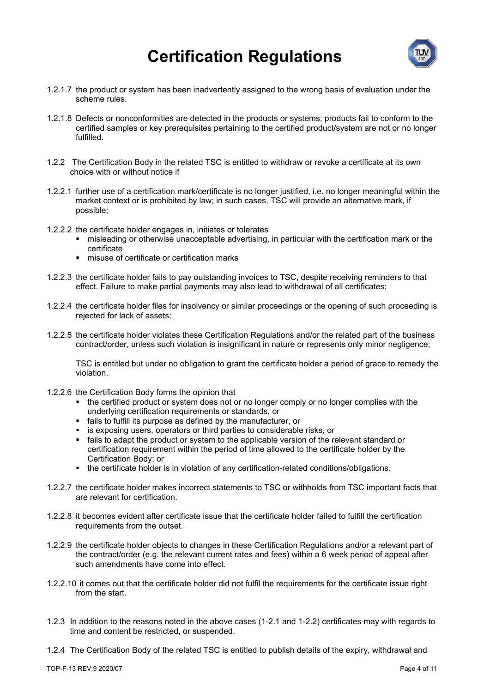

- 1.2.1.7 the product or system has been inadvertently assigned to the wrong basis of evaluation under the scheme rules.
- 1.2.1.8 Defects or nonconformities are detected in the products or systems; products fail to conform to the certified samples or key prerequisites pertaining to the certified product/system are not or no longer fulfilled.
- 1.2.2 The Certification Body in the related TSC is entitled to withdraw or revoke a certificate at its own choice with or without notice if
- 1.2.2.1 further use of a certification mark/certificate is no longer justified, i.e. no longer meaningful within the market context or is prohibited by law; in such cases, TSC will provide an alternative mark, if possible;
- 1.2.2.2 the certificate holder engages in, initiates or tolerates
	- misleading or otherwise unacceptable advertising, in particular with the certification mark or the certificate
	- **EXEC** misuse of certificate or certification marks
- 1.2.2.3 the certificate holder fails to pay outstanding invoices to TSC, despite receiving reminders to that effect. Failure to make partial payments may also lead to withdrawal of all certificates;
- 1.2.2.4 the certificate holder files for insolvency or similar proceedings or the opening of such proceeding is rejected for lack of assets;
- 1.2.2.5 the certificate holder violates these Certification Regulations and/or the related part of the business contract/order, unless such violation is insignificant in nature or represents only minor negligence;

TSC is entitled but under no obligation to grant the certificate holder a period of grace to remedy the violation.

- 1.2.2.6 the Certification Body forms the opinion that
	- the certified product or system does not or no longer comply or no longer complies with the underlying certification requirements or standards, or
	- fails to fulfill its purpose as defined by the manufacturer, or
	- is exposing users, operators or third parties to considerable risks, or
	- fails to adapt the product or system to the applicable version of the relevant standard or certification requirement within the period of time allowed to the certificate holder by the Certification Body; or
	- the certificate holder is in violation of any certification-related conditions/obligations.
- 1.2.2.7 the certificate holder makes incorrect statements to TSC or withholds from TSC important facts that are relevant for certification.
- 1.2.2.8 it becomes evident after certificate issue that the certificate holder failed to fulfill the certification requirements from the outset.
- 1.2.2.9 the certificate holder objects to changes in these Certification Regulations and/or a relevant part of the contract/order (e.g. the relevant current rates and fees) within a 6 week period of appeal after such amendments have come into effect.
- 1.2.2.10 it comes out that the certificate holder did not fulfil the requirements for the certificate issue right from the start.
- 1.2.3 In addition to the reasons noted in the above cases (1-2.1 and 1-2.2) certificates may with regards to time and content be restricted, or suspended.
- 1.2.4 The Certification Body of the related TSC is entitled to publish details of the expiry, withdrawal and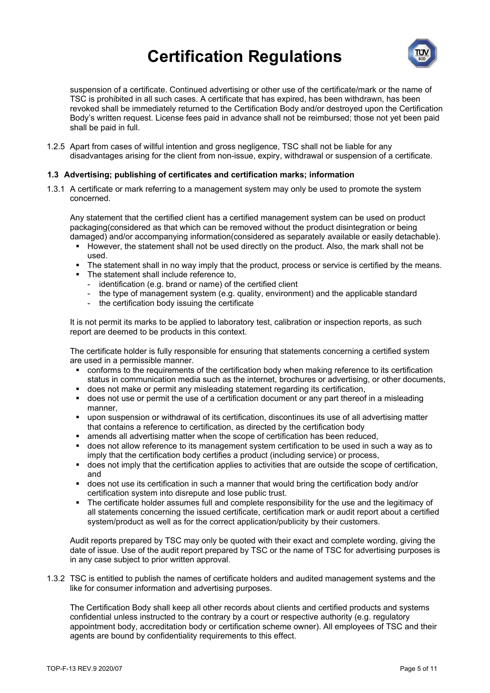

suspension of a certificate. Continued advertising or other use of the certificate/mark or the name of TSC is prohibited in all such cases. A certificate that has expired, has been withdrawn, has been revoked shall be immediately returned to the Certification Body and/or destroyed upon the Certification Body's written request. License fees paid in advance shall not be reimbursed; those not yet been paid shall be paid in full.

1.2.5 Apart from cases of willful intention and gross negligence, TSC shall not be liable for any disadvantages arising for the client from non-issue, expiry, withdrawal or suspension of a certificate.

#### **1.3 Advertising; publishing of certificates and certification marks; information**

1.3.1 A certificate or mark referring to a management system may only be used to promote the system concerned.

Any statement that the certified client has a certified management system can be used on product packaging(considered as that which can be removed without the product disintegration or being damaged) and/or accompanying information(considered as separately available or easily detachable).

- However, the statement shall not be used directly on the product. Also, the mark shall not be used.
- The statement shall in no way imply that the product, process or service is certified by the means.
- The statement shall include reference to,
	- identification (e.g. brand or name) of the certified client
	- the type of management system (e.g. quality, environment) and the applicable standard
	- the certification body issuing the certificate

It is not permit its marks to be applied to laboratory test, calibration or inspection reports, as such report are deemed to be products in this context.

The certificate holder is fully responsible for ensuring that statements concerning a certified system are used in a permissible manner.

- conforms to the requirements of the certification body when making reference to its certification status in communication media such as the internet, brochures or advertising, or other documents,
- does not make or permit any misleading statement regarding its certification,
- does not use or permit the use of a certification document or any part thereof in a misleading manner,
- upon suspension or withdrawal of its certification, discontinues its use of all advertising matter that contains a reference to certification, as directed by the certification body
- amends all advertising matter when the scope of certification has been reduced,
- does not allow reference to its management system certification to be used in such a way as to imply that the certification body certifies a product (including service) or process,
- does not imply that the certification applies to activities that are outside the scope of certification, and
- does not use its certification in such a manner that would bring the certification body and/or certification system into disrepute and lose public trust.
- The certificate holder assumes full and complete responsibility for the use and the legitimacy of all statements concerning the issued certificate, certification mark or audit report about a certified system/product as well as for the correct application/publicity by their customers.

Audit reports prepared by TSC may only be quoted with their exact and complete wording, giving the date of issue. Use of the audit report prepared by TSC or the name of TSC for advertising purposes is in any case subject to prior written approval.

1.3.2 TSC is entitled to publish the names of certificate holders and audited management systems and the like for consumer information and advertising purposes.

The Certification Body shall keep all other records about clients and certified products and systems confidential unless instructed to the contrary by a court or respective authority (e.g. regulatory appointment body, accreditation body or certification scheme owner). All employees of TSC and their agents are bound by confidentiality requirements to this effect.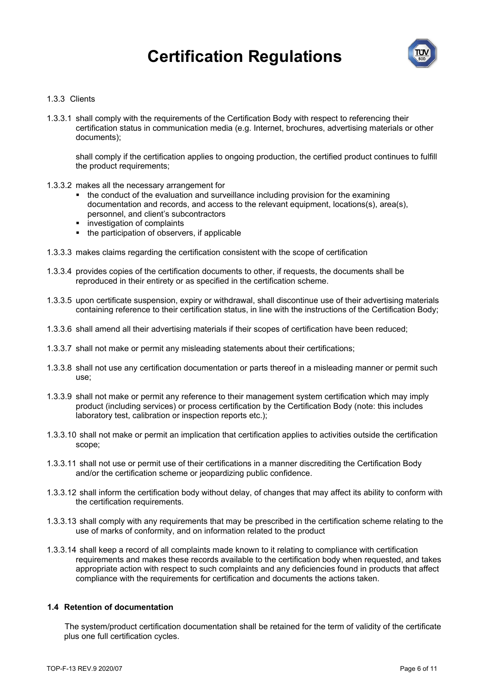

#### 1.3.3 Clients

1.3.3.1 shall comply with the requirements of the Certification Body with respect to referencing their certification status in communication media (e.g. Internet, brochures, advertising materials or other documents);

shall comply if the certification applies to ongoing production, the certified product continues to fulfill the product requirements;

- 1.3.3.2 makes all the necessary arrangement for
	- the conduct of the evaluation and surveillance including provision for the examining documentation and records, and access to the relevant equipment, locations(s), area(s), personnel, and client's subcontractors
	- **investigation of complaints**
	- the participation of observers, if applicable
- 1.3.3.3 makes claims regarding the certification consistent with the scope of certification
- 1.3.3.4 provides copies of the certification documents to other, if requests, the documents shall be reproduced in their entirety or as specified in the certification scheme.
- 1.3.3.5 upon certificate suspension, expiry or withdrawal, shall discontinue use of their advertising materials containing reference to their certification status, in line with the instructions of the Certification Body;
- 1.3.3.6 shall amend all their advertising materials if their scopes of certification have been reduced;
- 1.3.3.7 shall not make or permit any misleading statements about their certifications;
- 1.3.3.8 shall not use any certification documentation or parts thereof in a misleading manner or permit such use;
- 1.3.3.9 shall not make or permit any reference to their management system certification which may imply product (including services) or process certification by the Certification Body (note: this includes laboratory test, calibration or inspection reports etc.);
- 1.3.3.10 shall not make or permit an implication that certification applies to activities outside the certification scope;
- 1.3.3.11 shall not use or permit use of their certifications in a manner discrediting the Certification Body and/or the certification scheme or jeopardizing public confidence.
- 1.3.3.12 shall inform the certification body without delay, of changes that may affect its ability to conform with the certification requirements.
- 1.3.3.13 shall comply with any requirements that may be prescribed in the certification scheme relating to the use of marks of conformity, and on information related to the product
- 1.3.3.14 shall keep a record of all complaints made known to it relating to compliance with certification requirements and makes these records available to the certification body when requested, and takes appropriate action with respect to such complaints and any deficiencies found in products that affect compliance with the requirements for certification and documents the actions taken.

#### **1.4 Retention of documentation**

The system/product certification documentation shall be retained for the term of validity of the certificate plus one full certification cycles.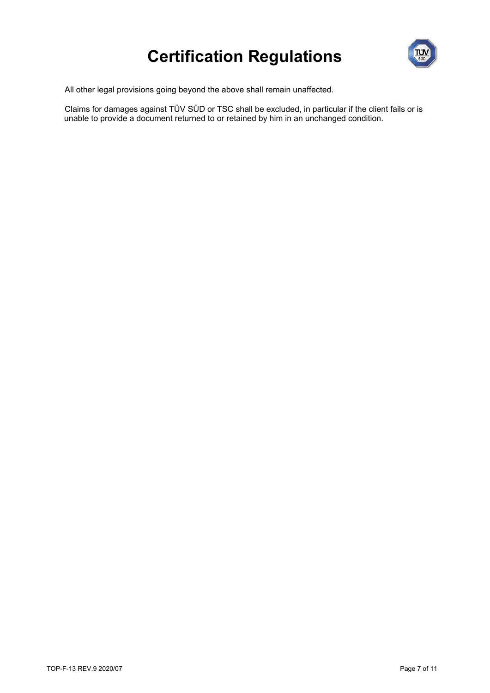

All other legal provisions going beyond the above shall remain unaffected.

Claims for damages against TÜV SÜD or TSC shall be excluded, in particular if the client fails or is unable to provide a document returned to or retained by him in an unchanged condition.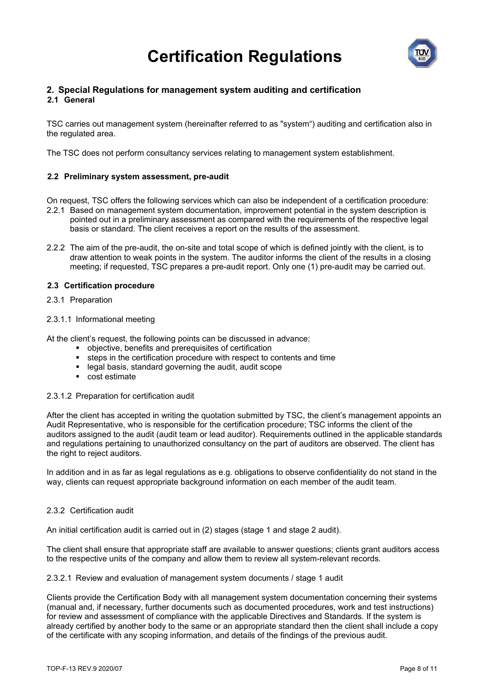

#### **2. Special Regulations for management system auditing and certification 2.1 General**

## TSC carries out management system (hereinafter referred to as "system") auditing and certification also in the regulated area.

The TSC does not perform consultancy services relating to management system establishment.

#### **2.2 Preliminary system assessment, pre-audit**

On request, TSC offers the following services which can also be independent of a certification procedure:

- 2.2.1 Based on management system documentation, improvement potential in the system description is pointed out in a preliminary assessment as compared with the requirements of the respective legal basis or standard. The client receives a report on the results of the assessment.
- 2.2.2 The aim of the pre-audit, the on-site and total scope of which is defined jointly with the client, is to draw attention to weak points in the system. The auditor informs the client of the results in a closing meeting; if requested, TSC prepares a pre-audit report. Only one (1) pre-audit may be carried out.

#### **2.3 Certification procedure**

- 2.3.1 Preparation
- 2.3.1.1 Informational meeting

At the client's request, the following points can be discussed in advance:

- objective, benefits and prerequisites of certification
- steps in the certification procedure with respect to contents and time
- legal basis, standard governing the audit, audit scope
- cost estimate

#### 2.3.1.2 Preparation for certification audit

After the client has accepted in writing the quotation submitted by TSC, the client's management appoints an Audit Representative, who is responsible for the certification procedure; TSC informs the client of the auditors assigned to the audit (audit team or lead auditor). Requirements outlined in the applicable standards and regulations pertaining to unauthorized consultancy on the part of auditors are observed. The client has the right to reject auditors.

In addition and in as far as legal regulations as e.g. obligations to observe confidentiality do not stand in the way, clients can request appropriate background information on each member of the audit team.

#### 2.3.2 Certification audit

An initial certification audit is carried out in (2) stages (stage 1 and stage 2 audit).

The client shall ensure that appropriate staff are available to answer questions; clients grant auditors access to the respective units of the company and allow them to review all system-relevant records.

2.3.2.1 Review and evaluation of management system documents / stage 1 audit

Clients provide the Certification Body with all management system documentation concerning their systems (manual and, if necessary, further documents such as documented procedures, work and test instructions) for review and assessment of compliance with the applicable Directives and Standards. If the system is already certified by another body to the same or an appropriate standard then the client shall include a copy of the certificate with any scoping information, and details of the findings of the previous audit.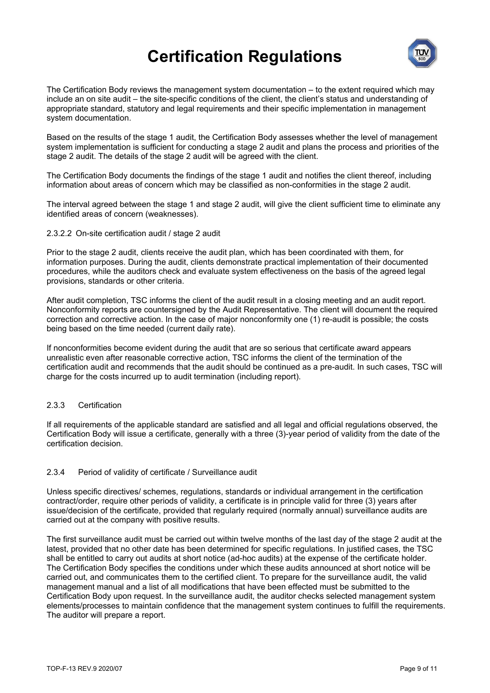

The Certification Body reviews the management system documentation – to the extent required which may include an on site audit – the site-specific conditions of the client, the client's status and understanding of appropriate standard, statutory and legal requirements and their specific implementation in management system documentation.

Based on the results of the stage 1 audit, the Certification Body assesses whether the level of management system implementation is sufficient for conducting a stage 2 audit and plans the process and priorities of the stage 2 audit. The details of the stage 2 audit will be agreed with the client.

The Certification Body documents the findings of the stage 1 audit and notifies the client thereof, including information about areas of concern which may be classified as non-conformities in the stage 2 audit.

The interval agreed between the stage 1 and stage 2 audit, will give the client sufficient time to eliminate any identified areas of concern (weaknesses).

#### 2.3.2.2 On-site certification audit / stage 2 audit

Prior to the stage 2 audit, clients receive the audit plan, which has been coordinated with them, for information purposes. During the audit, clients demonstrate practical implementation of their documented procedures, while the auditors check and evaluate system effectiveness on the basis of the agreed legal provisions, standards or other criteria.

After audit completion, TSC informs the client of the audit result in a closing meeting and an audit report. Nonconformity reports are countersigned by the Audit Representative. The client will document the required correction and corrective action. In the case of major nonconformity one (1) re-audit is possible; the costs being based on the time needed (current daily rate).

If nonconformities become evident during the audit that are so serious that certificate award appears unrealistic even after reasonable corrective action, TSC informs the client of the termination of the certification audit and recommends that the audit should be continued as a pre-audit. In such cases, TSC will charge for the costs incurred up to audit termination (including report).

#### 2.3.3 Certification

If all requirements of the applicable standard are satisfied and all legal and official regulations observed, the Certification Body will issue a certificate, generally with a three (3)-year period of validity from the date of the certification decision.

#### 2.3.4 Period of validity of certificate / Surveillance audit

Unless specific directives/ schemes, regulations, standards or individual arrangement in the certification contract/order, require other periods of validity, a certificate is in principle valid for three (3) years after issue/decision of the certificate, provided that regularly required (normally annual) surveillance audits are carried out at the company with positive results.

The first surveillance audit must be carried out within twelve months of the last day of the stage 2 audit at the latest, provided that no other date has been determined for specific regulations. In justified cases, the TSC shall be entitled to carry out audits at short notice (ad-hoc audits) at the expense of the certificate holder. The Certification Body specifies the conditions under which these audits announced at short notice will be carried out, and communicates them to the certified client. To prepare for the surveillance audit, the valid management manual and a list of all modifications that have been effected must be submitted to the Certification Body upon request. In the surveillance audit, the auditor checks selected management system elements/processes to maintain confidence that the management system continues to fulfill the requirements. The auditor will prepare a report.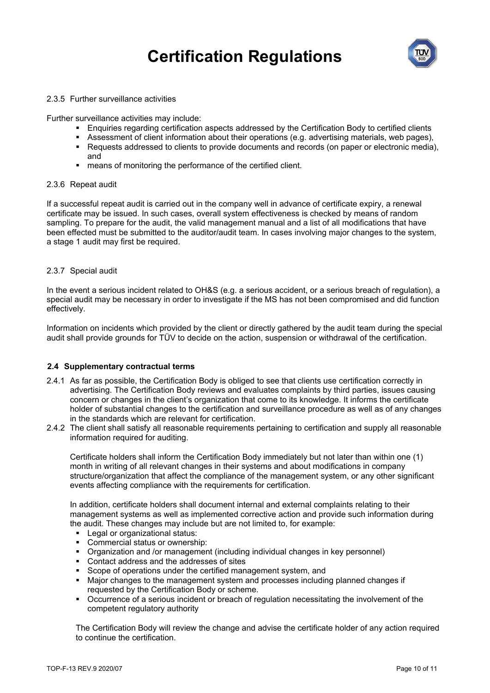

#### 2.3.5 Further surveillance activities

Further surveillance activities may include:

- Enquiries regarding certification aspects addressed by the Certification Body to certified clients
- Assessment of client information about their operations (e.g. advertising materials, web pages),
- **Requests addressed to clients to provide documents and records (on paper or electronic media),** and
- means of monitoring the performance of the certified client.

#### 2.3.6 Repeat audit

If a successful repeat audit is carried out in the company well in advance of certificate expiry, a renewal certificate may be issued. In such cases, overall system effectiveness is checked by means of random sampling. To prepare for the audit, the valid management manual and a list of all modifications that have been effected must be submitted to the auditor/audit team. In cases involving major changes to the system, a stage 1 audit may first be required.

#### 2.3.7 Special audit

In the event a serious incident related to OH&S (e.g. a serious accident, or a serious breach of regulation), a special audit may be necessary in order to investigate if the MS has not been compromised and did function effectively.

Information on incidents which provided by the client or directly gathered by the audit team during the special audit shall provide grounds for TÜV to decide on the action, suspension or withdrawal of the certification.

#### **2.4 Supplementary contractual terms**

- 2.4.1 As far as possible, the Certification Body is obliged to see that clients use certification correctly in advertising. The Certification Body reviews and evaluates complaints by third parties, issues causing concern or changes in the client's organization that come to its knowledge. It informs the certificate holder of substantial changes to the certification and surveillance procedure as well as of any changes in the standards which are relevant for certification.
- 2.4.2 The client shall satisfy all reasonable requirements pertaining to certification and supply all reasonable information required for auditing.

Certificate holders shall inform the Certification Body immediately but not later than within one (1) month in writing of all relevant changes in their systems and about modifications in company structure/organization that affect the compliance of the management system, or any other significant events affecting compliance with the requirements for certification.

In addition, certificate holders shall document internal and external complaints relating to their management systems as well as implemented corrective action and provide such information during the audit. These changes may include but are not limited to, for example:

- **Legal or organizational status:**
- Commercial status or ownership:
- Organization and /or management (including individual changes in key personnel)
- Contact address and the addresses of sites
- Scope of operations under the certified management system, and
- Major changes to the management system and processes including planned changes if requested by the Certification Body or scheme.
- Occurrence of a serious incident or breach of regulation necessitating the involvement of the competent regulatory authority

The Certification Body will review the change and advise the certificate holder of any action required to continue the certification.